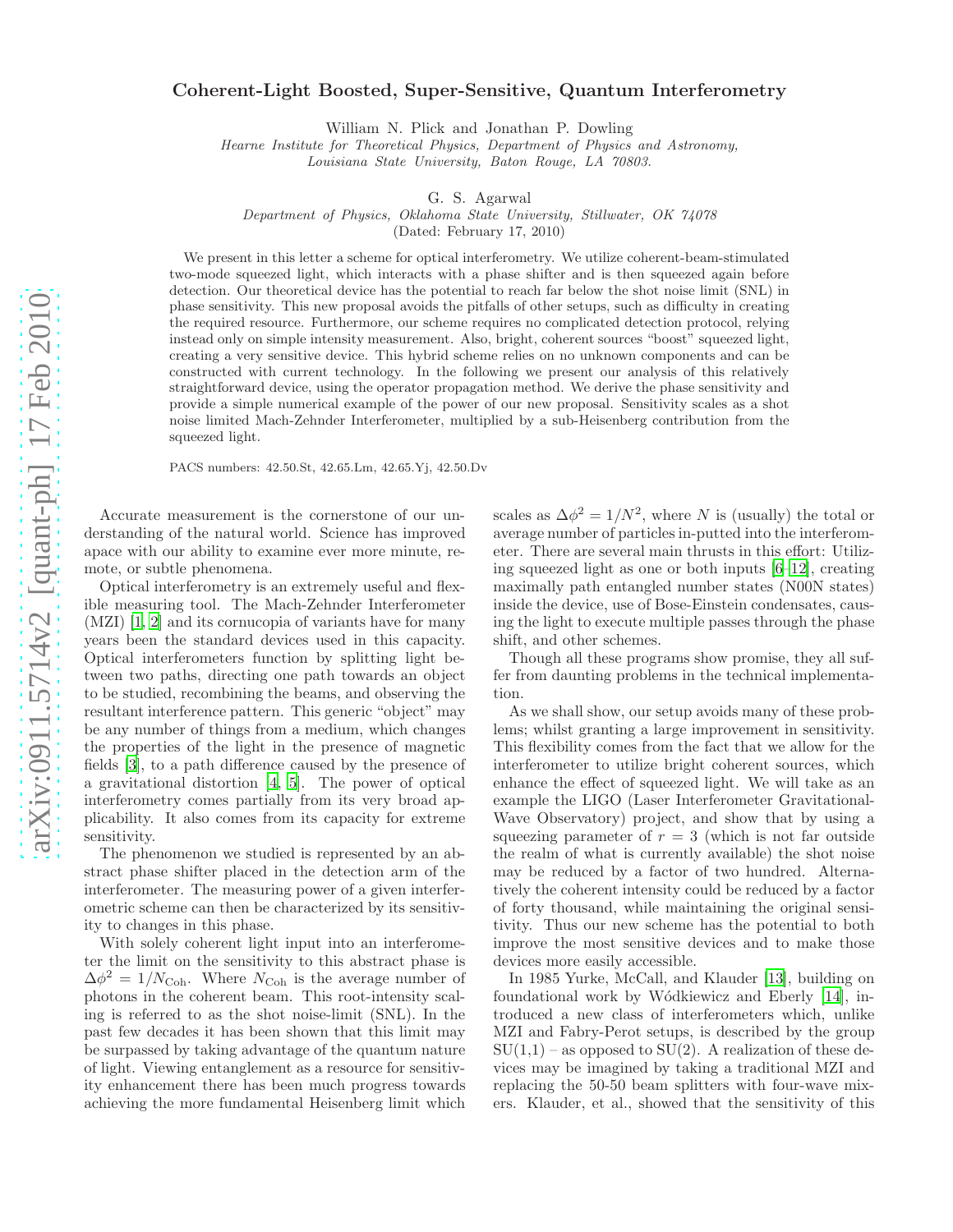## Coherent-Light Boosted, Super-Sensitive, Quantum Interferometry

William N. Plick and Jonathan P. Dowling

Hearne Institute for Theoretical Physics, Department of Physics and Astronomy,

Louisiana State University, Baton Rouge, LA 70803.

G. S. Agarwal

Department of Physics, Oklahoma State University, Stillwater, OK 74078

(Dated: February 17, 2010)

We present in this letter a scheme for optical interferometry. We utilize coherent-beam-stimulated two-mode squeezed light, which interacts with a phase shifter and is then squeezed again before detection. Our theoretical device has the potential to reach far below the shot noise limit (SNL) in phase sensitivity. This new proposal avoids the pitfalls of other setups, such as difficulty in creating the required resource. Furthermore, our scheme requires no complicated detection protocol, relying instead only on simple intensity measurement. Also, bright, coherent sources "boost" squeezed light, creating a very sensitive device. This hybrid scheme relies on no unknown components and can be constructed with current technology. In the following we present our analysis of this relatively straightforward device, using the operator propagation method. We derive the phase sensitivity and provide a simple numerical example of the power of our new proposal. Sensitivity scales as a shot noise limited Mach-Zehnder Interferometer, multiplied by a sub-Heisenberg contribution from the squeezed light.

PACS numbers: 42.50.St, 42.65.Lm, 42.65.Yj, 42.50.Dv

Accurate measurement is the cornerstone of our understanding of the natural world. Science has improved apace with our ability to examine ever more minute, remote, or subtle phenomena.

Optical interferometry is an extremely useful and flexible measuring tool. The Mach-Zehnder Interferometer (MZI) [\[1](#page-3-0), [2\]](#page-3-1) and its cornucopia of variants have for many years been the standard devices used in this capacity. Optical interferometers function by splitting light between two paths, directing one path towards an object to be studied, recombining the beams, and observing the resultant interference pattern. This generic "object" may be any number of things from a medium, which changes the properties of the light in the presence of magnetic fields [\[3\]](#page-3-2), to a path difference caused by the presence of a gravitational distortion [\[4](#page-3-3), [5\]](#page-3-4). The power of optical interferometry comes partially from its very broad applicability. It also comes from its capacity for extreme sensitivity.

The phenomenon we studied is represented by an abstract phase shifter placed in the detection arm of the interferometer. The measuring power of a given interferometric scheme can then be characterized by its sensitivity to changes in this phase.

With solely coherent light input into an interferometer the limit on the sensitivity to this abstract phase is  $\Delta \phi^2 = 1/N_{\text{Coh}}$ . Where  $N_{\text{Coh}}$  is the average number of photons in the coherent beam. This root-intensity scaling is referred to as the shot noise-limit (SNL). In the past few decades it has been shown that this limit may be surpassed by taking advantage of the quantum nature of light. Viewing entanglement as a resource for sensitivity enhancement there has been much progress towards achieving the more fundamental Heisenberg limit which

scales as  $\Delta \phi^2 = 1/N^2$ , where N is (usually) the total or average number of particles in-putted into the interferometer. There are several main thrusts in this effort: Utilizing squeezed light as one or both inputs [\[6](#page-3-5)[–12](#page-3-6)], creating maximally path entangled number states (N00N states) inside the device, use of Bose-Einstein condensates, causing the light to execute multiple passes through the phase shift, and other schemes.

Though all these programs show promise, they all suffer from daunting problems in the technical implementation.

As we shall show, our setup avoids many of these problems; whilst granting a large improvement in sensitivity. This flexibility comes from the fact that we allow for the interferometer to utilize bright coherent sources, which enhance the effect of squeezed light. We will take as an example the LIGO (Laser Interferometer Gravitational-Wave Observatory) project, and show that by using a squeezing parameter of  $r = 3$  (which is not far outside the realm of what is currently available) the shot noise may be reduced by a factor of two hundred. Alternatively the coherent intensity could be reduced by a factor of forty thousand, while maintaining the original sensitivity. Thus our new scheme has the potential to both improve the most sensitive devices and to make those devices more easily accessible.

In 1985 Yurke, McCall, and Klauder [\[13\]](#page-3-7), building on foundational work by W´odkiewicz and Eberly [\[14](#page-3-8)], introduced a new class of interferometers which, unlike MZI and Fabry-Perot setups, is described by the group  $SU(1,1)$  – as opposed to  $SU(2)$ . A realization of these devices may be imagined by taking a traditional MZI and replacing the 50-50 beam splitters with four-wave mixers. Klauder, et al., showed that the sensitivity of this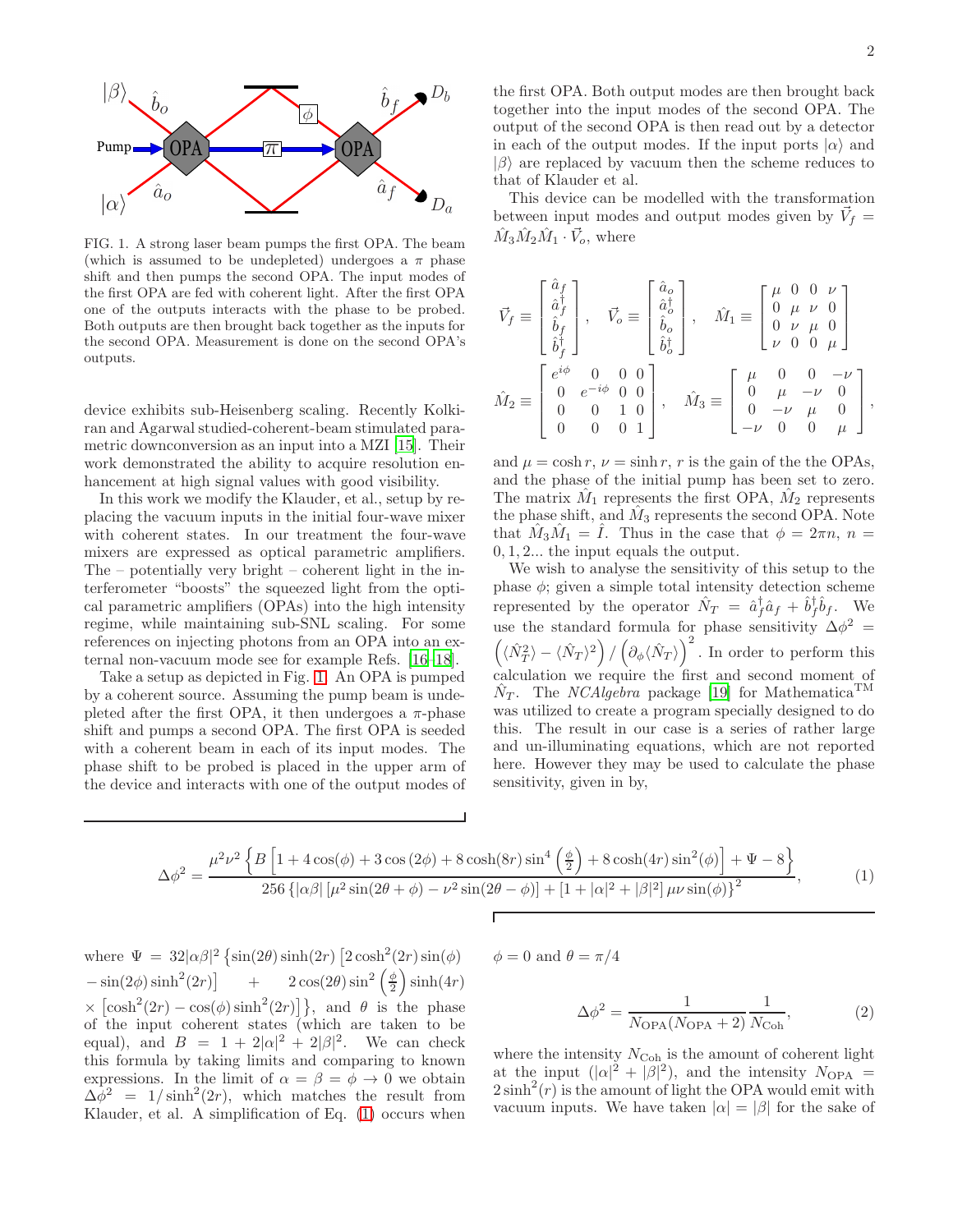

<span id="page-1-0"></span>FIG. 1. A strong laser beam pumps the first OPA. The beam (which is assumed to be undepleted) undergoes a  $\pi$  phase shift and then pumps the second OPA. The input modes of the first OPA are fed with coherent light. After the first OPA one of the outputs interacts with the phase to be probed. Both outputs are then brought back together as the inputs for the second OPA. Measurement is done on the second OPA's outputs.

device exhibits sub-Heisenberg scaling. Recently Kolkiran and Agarwal studied-coherent-beam stimulated parametric downconversion as an input into a MZI [\[15\]](#page-3-9). Their work demonstrated the ability to acquire resolution enhancement at high signal values with good visibility.

In this work we modify the Klauder, et al., setup by replacing the vacuum inputs in the initial four-wave mixer with coherent states. In our treatment the four-wave mixers are expressed as optical parametric amplifiers. The – potentially very bright – coherent light in the interferometer "boosts" the squeezed light from the optical parametric amplifiers (OPAs) into the high intensity regime, while maintaining sub-SNL scaling. For some references on injecting photons from an OPA into an external non-vacuum mode see for example Refs. [\[16](#page-3-10)[–18\]](#page-3-11).

Take a setup as depicted in Fig. [1.](#page-1-0) An OPA is pumped by a coherent source. Assuming the pump beam is undepleted after the first OPA, it then undergoes a  $\pi$ -phase shift and pumps a second OPA. The first OPA is seeded with a coherent beam in each of its input modes. The phase shift to be probed is placed in the upper arm of the device and interacts with one of the output modes of

the first OPA. Both output modes are then brought back together into the input modes of the second OPA. The output of the second OPA is then read out by a detector in each of the output modes. If the input ports  $|\alpha\rangle$  and  $|\beta\rangle$  are replaced by vacuum then the scheme reduces to that of Klauder et al.

This device can be modelled with the transformation between input modes and output modes given by  $\vec{V}_f =$  $\hat{M}_3 \hat{M}_2 \hat{M}_1 \cdot \vec{V}_o$ , where

$$
\vec{V}_f \equiv \begin{bmatrix} \hat{a}_f \\ \hat{a}_f^{\dagger} \\ \hat{b}_f^{\dagger} \\ \hat{b}_f^{\dagger} \end{bmatrix}, \quad \vec{V}_o \equiv \begin{bmatrix} \hat{a}_o \\ \hat{a}_o^{\dagger} \\ \hat{b}_o \\ \hat{b}_o^{\dagger} \end{bmatrix}, \quad \hat{M}_1 \equiv \begin{bmatrix} \mu & 0 & 0 & \nu \\ 0 & \mu & \nu & 0 \\ 0 & \nu & \mu & 0 \\ \nu & 0 & 0 & \mu \end{bmatrix}
$$

$$
\hat{M}_2 \equiv \begin{bmatrix} e^{i\phi} & 0 & 0 & 0 \\ 0 & e^{-i\phi} & 0 & 0 \\ 0 & 0 & 1 & 0 \\ 0 & 0 & 0 & 1 \end{bmatrix}, \quad \hat{M}_3 \equiv \begin{bmatrix} \mu & 0 & 0 & -\nu \\ 0 & \mu & -\nu & 0 \\ 0 & -\nu & \mu & 0 \\ -\nu & 0 & 0 & \mu \end{bmatrix},
$$

and  $\mu = \cosh r$ ,  $\nu = \sinh r$ , r is the gain of the the OPAs, and the phase of the initial pump has been set to zero. The matrix  $\hat{M}_1$  represents the first OPA,  $\hat{M}_2$  represents the phase shift, and  $\hat{M}_3$  represents the second OPA. Note that  $\hat{M}_3 \hat{M}_1 = \hat{I}$ . Thus in the case that  $\phi = 2\pi n$ ,  $n =$ 0, 1, 2... the input equals the output.

We wish to analyse the sensitivity of this setup to the phase  $\phi$ ; given a simple total intensity detection scheme represented by the operator  $\hat{N}_T = \hat{a}_f^{\dagger} \hat{a}_f + \hat{b}_f^{\dagger} \hat{b}_f$ . We use the standard formula for phase sensitivity  $\Delta\phi^2$  =  $(\langle \hat{N}_T^2 \rangle - \langle \hat{N}_T \rangle^2) / (\partial_{\phi} \langle \hat{N}_T \rangle)^2$ . In order to perform this calculation we require the first and second moment of  $\hat{N}_T$ . The *NCAlgebra* package [\[19\]](#page-3-12) for Mathematica<sup>TM</sup> was utilized to create a program specially designed to do this. The result in our case is a series of rather large and un-illuminating equations, which are not reported here. However they may be used to calculate the phase sensitivity, given in by,

<span id="page-1-1"></span>
$$
\Delta\phi^2 = \frac{\mu^2 \nu^2 \left\{ B \left[ 1 + 4 \cos(\phi) + 3 \cos(2\phi) + 8 \cosh(8r) \sin^4\left(\frac{\phi}{2}\right) + 8 \cosh(4r) \sin^2(\phi) \right] + \Psi - 8 \right\}}{256 \left\{ \left[ \alpha \beta \right] \left[ \mu^2 \sin(2\theta + \phi) - \nu^2 \sin(2\theta - \phi) \right] + \left[ 1 + |\alpha|^2 + |\beta|^2 \right] \mu \nu \sin(\phi) \right\}^2},\tag{1}
$$

where  $\Psi = 32|\alpha\beta|^2 \left\{ \sin(2\theta) \sinh(2r) \left[ 2 \cosh^2(2r) \sin(\phi) \right] \right\}$  $-\sin(2\phi)\sinh^2(2r)$  +  $2\cos(2\theta)\sin^2(\frac{\phi}{2})\sinh(4r)$  $\times \left[ \cosh^2(2r) - \cos(\phi) \sinh^2(2r) \right]$ , and  $\theta$  is the phase of the input coherent states (which are taken to be equal), and  $B = 1 + 2|\alpha|^2 + 2|\beta|^2$ . We can check this formula by taking limits and comparing to known expressions. In the limit of  $\alpha = \beta = \phi \rightarrow 0$  we obtain  $\Delta \dot{\phi}^2$  = 1/sinh<sup>2</sup>(2r), which matches the result from Klauder, et al. A simplification of Eq. [\(1\)](#page-1-1) occurs when

 $\phi = 0$  and  $\theta = \pi/4$ 

<span id="page-1-2"></span>
$$
\Delta \phi^2 = \frac{1}{N_{\text{OPA}}(N_{\text{OPA}} + 2)} \frac{1}{N_{\text{Coh}}},\tag{2}
$$

where the intensity  $N_{\text{Coh}}$  is the amount of coherent light at the input  $(|\alpha|^2 + |\beta|^2)$ , and the intensity  $N_{\text{OPA}} =$  $2\sinh^2(r)$  is the amount of light the OPA would emit with vacuum inputs. We have taken  $|\alpha| = |\beta|$  for the sake of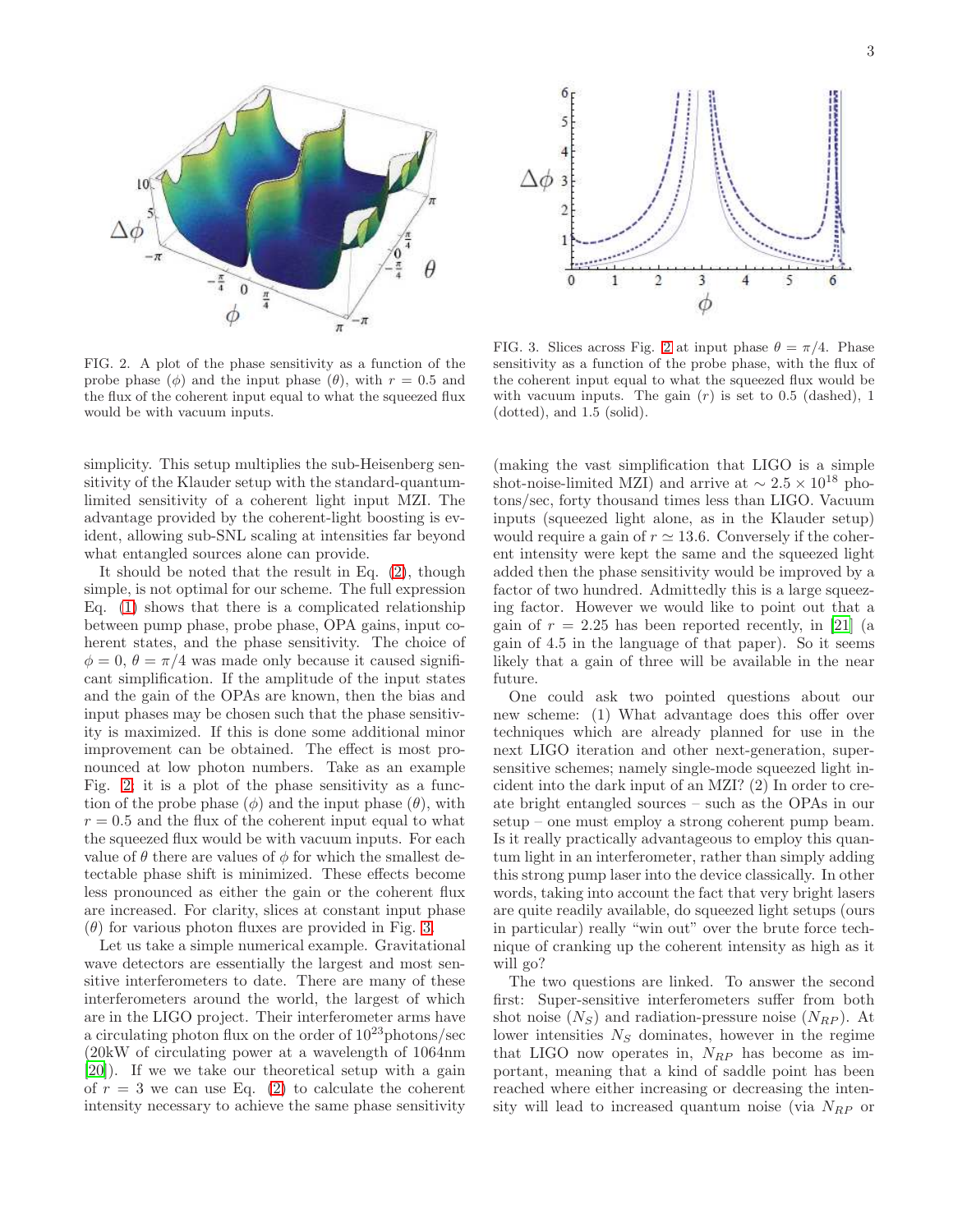

<span id="page-2-0"></span>FIG. 2. A plot of the phase sensitivity as a function of the probe phase ( $\phi$ ) and the input phase ( $\theta$ ), with  $r = 0.5$  and the flux of the coherent input equal to what the squeezed flux would be with vacuum inputs.

6 5  $\Delta\phi$ ß  $\mathbf{0}$  $\,$  1  $\,$  $\mathfrak{2}% =\mathfrak{2}\otimes\mathfrak{2}^{\ast}\mathfrak{2}^{\ast}$ 3  $\overline{4}$ 5 6 φ

<span id="page-2-1"></span>FIG. 3. Slices across Fig. [2](#page-2-0) at input phase  $\theta = \pi/4$ . Phase sensitivity as a function of the probe phase, with the flux of the coherent input equal to what the squeezed flux would be with vacuum inputs. The gain  $(r)$  is set to 0.5 (dashed), 1 (dotted), and 1.5 (solid).

simplicity. This setup multiplies the sub-Heisenberg sensitivity of the Klauder setup with the standard-quantumlimited sensitivity of a coherent light input MZI. The advantage provided by the coherent-light boosting is evident, allowing sub-SNL scaling at intensities far beyond what entangled sources alone can provide.

It should be noted that the result in Eq. [\(2\)](#page-1-2), though simple, is not optimal for our scheme. The full expression Eq. [\(1\)](#page-1-1) shows that there is a complicated relationship between pump phase, probe phase, OPA gains, input coherent states, and the phase sensitivity. The choice of  $\phi = 0, \theta = \pi/4$  was made only because it caused significant simplification. If the amplitude of the input states and the gain of the OPAs are known, then the bias and input phases may be chosen such that the phase sensitivity is maximized. If this is done some additional minor improvement can be obtained. The effect is most pronounced at low photon numbers. Take as an example Fig. [2;](#page-2-0) it is a plot of the phase sensitivity as a function of the probe phase  $(\phi)$  and the input phase  $(\theta)$ , with  $r = 0.5$  and the flux of the coherent input equal to what the squeezed flux would be with vacuum inputs. For each value of  $\theta$  there are values of  $\phi$  for which the smallest detectable phase shift is minimized. These effects become less pronounced as either the gain or the coherent flux are increased. For clarity, slices at constant input phase  $(\theta)$  for various photon fluxes are provided in Fig. [3.](#page-2-1)

Let us take a simple numerical example. Gravitational wave detectors are essentially the largest and most sensitive interferometers to date. There are many of these interferometers around the world, the largest of which are in the LIGO project. Their interferometer arms have a circulating photon flux on the order of  $10^{23}$  photons/sec (20kW of circulating power at a wavelength of 1064nm [\[20\]](#page-3-13)). If we we take our theoretical setup with a gain of  $r = 3$  we can use Eq. [\(2\)](#page-1-2) to calculate the coherent intensity necessary to achieve the same phase sensitivity

(making the vast simplification that LIGO is a simple shot-noise-limited MZI) and arrive at  $\sim 2.5 \times 10^{18}$  photons/sec, forty thousand times less than LIGO. Vacuum inputs (squeezed light alone, as in the Klauder setup) would require a gain of  $r \approx 13.6$ . Conversely if the coherent intensity were kept the same and the squeezed light added then the phase sensitivity would be improved by a factor of two hundred. Admittedly this is a large squeezing factor. However we would like to point out that a gain of  $r = 2.25$  has been reported recently, in [\[21](#page-3-14)] (a gain of 4.5 in the language of that paper). So it seems likely that a gain of three will be available in the near future.

One could ask two pointed questions about our new scheme: (1) What advantage does this offer over techniques which are already planned for use in the next LIGO iteration and other next-generation, supersensitive schemes; namely single-mode squeezed light incident into the dark input of an MZI? (2) In order to create bright entangled sources – such as the OPAs in our setup – one must employ a strong coherent pump beam. Is it really practically advantageous to employ this quantum light in an interferometer, rather than simply adding this strong pump laser into the device classically. In other words, taking into account the fact that very bright lasers are quite readily available, do squeezed light setups (ours in particular) really "win out" over the brute force technique of cranking up the coherent intensity as high as it will go?

The two questions are linked. To answer the second first: Super-sensitive interferometers suffer from both shot noise  $(N<sub>S</sub>)$  and radiation-pressure noise  $(N<sub>RP</sub>)$ . At lower intensities  $N<sub>S</sub>$  dominates, however in the regime that LIGO now operates in,  $N_{RP}$  has become as important, meaning that a kind of saddle point has been reached where either increasing or decreasing the intensity will lead to increased quantum noise (via  $N_{RP}$  or